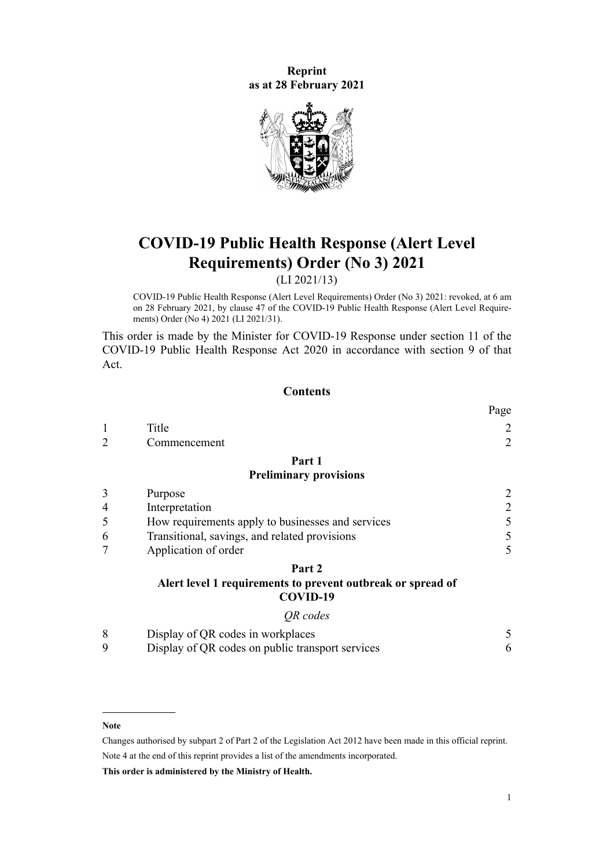**Reprint as at 28 February 2021**



# **COVID-19 Public Health Response (Alert Level Requirements) Order (No 3) 2021**

(LI 2021/13)

COVID-19 Public Health Response (Alert Level Requirements) Order (No 3) 2021: revoked, at 6 am on 28 February 2021, by [clause 47](http://legislation.govt.nz/pdflink.aspx?id=LMS456921) of the COVID-19 Public Health Response (Alert Level Requirements) Order (No 4) 2021 (LI 2021/31).

This order is made by the Minister for COVID-19 Response under [section 11](http://legislation.govt.nz/pdflink.aspx?id=LMS344177) of the [COVID-19 Public Health Response Act 2020](http://legislation.govt.nz/pdflink.aspx?id=LMS344121) in accordance with [section 9](http://legislation.govt.nz/pdflink.aspx?id=LMS344175) of that Act.

# **Contents**

|   |                                                             | Page           |
|---|-------------------------------------------------------------|----------------|
|   | Title                                                       | $\overline{2}$ |
|   | Commencement                                                | $\overline{2}$ |
|   | Part 1                                                      |                |
|   | <b>Preliminary provisions</b>                               |                |
| 3 | Purpose                                                     | $\overline{2}$ |
| 4 | Interpretation                                              | $\overline{2}$ |
| 5 | How requirements apply to businesses and services           | 5              |
| 6 | Transitional, savings, and related provisions               | 5              |
|   | Application of order                                        | 5              |
|   | Part <sub>2</sub>                                           |                |
|   | Alert level 1 requirements to prevent outbreak or spread of |                |
|   | COVID-19                                                    |                |

### *[QR codes](#page-4-0)*

| Display of QR codes in workplaces                |  |
|--------------------------------------------------|--|
| Display of QR codes on public transport services |  |

#### **Note**

Changes authorised by [subpart 2](http://legislation.govt.nz/pdflink.aspx?id=DLM2998524) of Part 2 of the Legislation Act 2012 have been made in this official reprint. Note 4 at the end of this reprint provides a list of the amendments incorporated.

**This order is administered by the Ministry of Health.**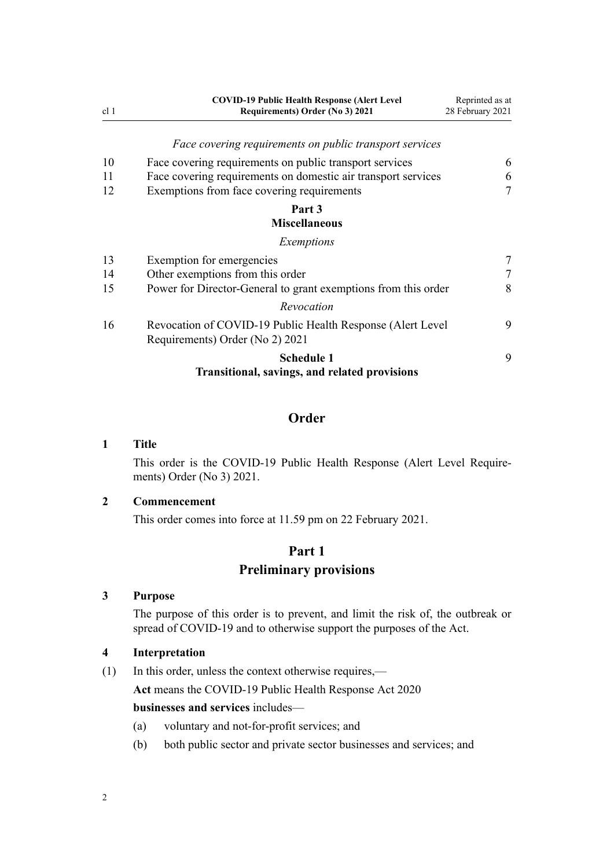<span id="page-1-0"></span>

|                 | <b>COVID-19 Public Health Response (Alert Level</b>                                            | Reprinted as at  |
|-----------------|------------------------------------------------------------------------------------------------|------------------|
| cl <sub>1</sub> | Requirements) Order (No 3) 2021                                                                | 28 February 2021 |
|                 | <i>Face covering requirements on public transport services</i>                                 |                  |
| 10              | Face covering requirements on public transport services                                        | 6                |
| 11              | Face covering requirements on domestic air transport services                                  | 6                |
| 12              | Exemptions from face covering requirements                                                     | 7                |
|                 | Part 3                                                                                         |                  |
|                 | <b>Miscellaneous</b>                                                                           |                  |
|                 | Exemptions                                                                                     |                  |
| 13              | Exemption for emergencies                                                                      | $\tau$           |
| 14              | Other exemptions from this order                                                               | 7                |
| 15              | Power for Director-General to grant exemptions from this order                                 | 8                |
|                 | Revocation                                                                                     |                  |
| 16              | Revocation of COVID-19 Public Health Response (Alert Level)<br>Requirements) Order (No 2) 2021 | 9                |
|                 | <b>Schedule 1</b>                                                                              | 9                |

# **[Transitional, savings, and related provisions](#page-8-0)**

# **Order**

### **1 Title**

This order is the COVID-19 Public Health Response (Alert Level Requirements) Order (No 3) 2021.

# **2 Commencement**

This order comes into force at 11.59 pm on 22 February 2021.

# **Part 1 Preliminary provisions**

# **3 Purpose**

The purpose of this order is to prevent, and limit the risk of, the outbreak or spread of COVID-19 and to otherwise support the purposes of the Act.

# **4 Interpretation**

(1) In this order, unless the context otherwise requires,—

**Act** means the [COVID-19 Public Health Response Act 2020](http://legislation.govt.nz/pdflink.aspx?id=LMS344121)

#### **businesses and services** includes—

- (a) voluntary and not-for-profit services; and
- (b) both public sector and private sector businesses and services; and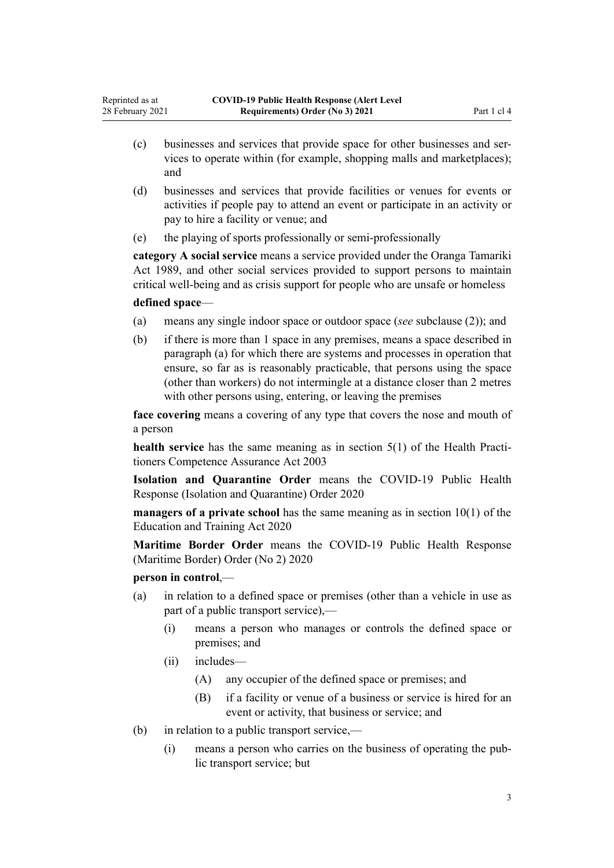- (c) businesses and services that provide space for other businesses and services to operate within (for example, shopping malls and marketplaces); and
- (d) businesses and services that provide facilities or venues for events or activities if people pay to attend an event or participate in an activity or pay to hire a facility or venue; and
- (e) the playing of sports professionally or semi-professionally

**category A social service** means a service provided under the [Oranga Tamariki](http://legislation.govt.nz/pdflink.aspx?id=DLM147087) [Act 1989,](http://legislation.govt.nz/pdflink.aspx?id=DLM147087) and other social services provided to support persons to maintain critical well-being and as crisis support for people who are unsafe or homeless

#### **defined space**—

Reprinted as at 28 February 2021

- (a) means any single indoor space or outdoor space (*see* subclause (2)); and
- (b) if there is more than 1 space in any premises, means a space described in paragraph (a) for which there are systems and processes in operation that ensure, so far as is reasonably practicable, that persons using the space (other than workers) do not intermingle at a distance closer than 2 metres with other persons using, entering, or leaving the premises

**face covering** means a covering of any type that covers the nose and mouth of a person

**health service** has the same meaning as in [section 5\(1\)](http://legislation.govt.nz/pdflink.aspx?id=DLM203321) of the Health Practitioners Competence Assurance Act 2003

**Isolation and Quarantine Order** means the [COVID-19 Public Health](http://legislation.govt.nz/pdflink.aspx?id=LMS401666) [Response \(Isolation and Quarantine\) Order 2020](http://legislation.govt.nz/pdflink.aspx?id=LMS401666)

**managers of a private school** has the same meaning as in [section 10\(1\)](http://legislation.govt.nz/pdflink.aspx?id=LMS171311) of the Education and Training Act 2020

**Maritime Border Order** means the [COVID-19 Public Health Response](http://legislation.govt.nz/pdflink.aspx?id=LMS403465) [\(Maritime Border\) Order \(No 2\) 2020](http://legislation.govt.nz/pdflink.aspx?id=LMS403465)

#### **person in control**,—

- (a) in relation to a defined space or premises (other than a vehicle in use as part of a public transport service),—
	- (i) means a person who manages or controls the defined space or premises; and
	- (ii) includes—
		- (A) any occupier of the defined space or premises; and
		- (B) if a facility or venue of a business or service is hired for an event or activity, that business or service; and
- (b) in relation to a public transport service,—
	- (i) means a person who carries on the business of operating the public transport service; but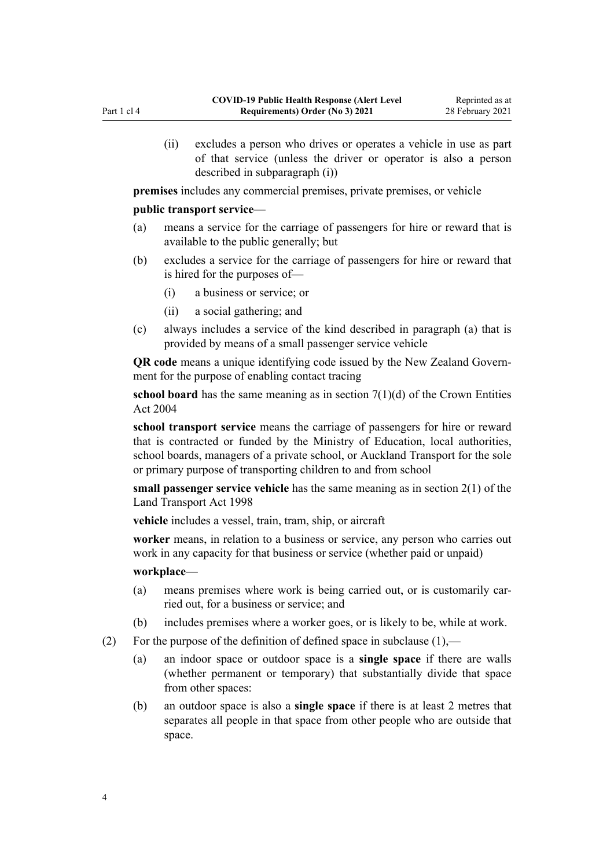(ii) excludes a person who drives or operates a vehicle in use as part of that service (unless the driver or operator is also a person described in subparagraph (i))

**premises** includes any commercial premises, private premises, or vehicle

#### **public transport service**—

- (a) means a service for the carriage of passengers for hire or reward that is available to the public generally; but
- (b) excludes a service for the carriage of passengers for hire or reward that is hired for the purposes of—
	- (i) a business or service; or
	- (ii) a social gathering; and
- (c) always includes a service of the kind described in paragraph (a) that is provided by means of a small passenger service vehicle

**QR code** means a unique identifying code issued by the New Zealand Government for the purpose of enabling contact tracing

**school board** has the same meaning as in [section 7\(1\)\(d\)](http://legislation.govt.nz/pdflink.aspx?id=DLM329641) of the Crown Entities Act 2004

**school transport service** means the carriage of passengers for hire or reward that is contracted or funded by the Ministry of Education, local authorities, school boards, managers of a private school, or Auckland Transport for the sole or primary purpose of transporting children to and from school

**small passenger service vehicle** has the same meaning as in [section 2\(1\)](http://legislation.govt.nz/pdflink.aspx?id=DLM433619) of the Land Transport Act 1998

**vehicle** includes a vessel, train, tram, ship, or aircraft

**worker** means, in relation to a business or service, any person who carries out work in any capacity for that business or service (whether paid or unpaid)

#### **workplace**—

- (a) means premises where work is being carried out, or is customarily carried out, for a business or service; and
- (b) includes premises where a worker goes, or is likely to be, while at work.
- (2) For the purpose of the definition of defined space in subclause  $(1)$ ,—
	- (a) an indoor space or outdoor space is a **single space** if there are walls (whether permanent or temporary) that substantially divide that space from other spaces:
	- (b) an outdoor space is also a **single space** if there is at least 2 metres that separates all people in that space from other people who are outside that space.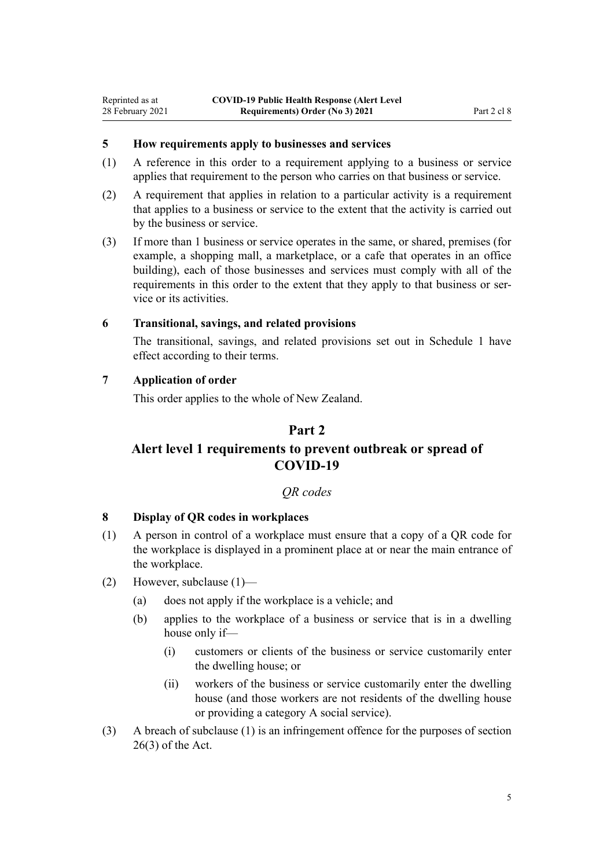# <span id="page-4-0"></span>**5 How requirements apply to businesses and services**

- (1) A reference in this order to a requirement applying to a business or service applies that requirement to the person who carries on that business or service.
- (2) A requirement that applies in relation to a particular activity is a requirement that applies to a business or service to the extent that the activity is carried out by the business or service.
- (3) If more than 1 business or service operates in the same, or shared, premises (for example, a shopping mall, a marketplace, or a cafe that operates in an office building), each of those businesses and services must comply with all of the requirements in this order to the extent that they apply to that business or service or its activities.

#### **6 Transitional, savings, and related provisions**

The transitional, savings, and related provisions set out in [Schedule 1](#page-8-0) have effect according to their terms.

#### **7 Application of order**

This order applies to the whole of New Zealand.

# **Part 2**

# **Alert level 1 requirements to prevent outbreak or spread of COVID-19**

#### *QR codes*

# **8 Display of QR codes in workplaces**

- (1) A person in control of a workplace must ensure that a copy of a QR code for the workplace is displayed in a prominent place at or near the main entrance of the workplace.
- (2) However, subclause (1)—
	- (a) does not apply if the workplace is a vehicle; and
	- (b) applies to the workplace of a business or service that is in a dwelling house only if—
		- (i) customers or clients of the business or service customarily enter the dwelling house; or
		- (ii) workers of the business or service customarily enter the dwelling house (and those workers are not residents of the dwelling house or providing a category A social service).
- (3) A breach of subclause (1) is an infringement offence for the purposes of [section](http://legislation.govt.nz/pdflink.aspx?id=LMS344200) [26\(3\)](http://legislation.govt.nz/pdflink.aspx?id=LMS344200) of the Act.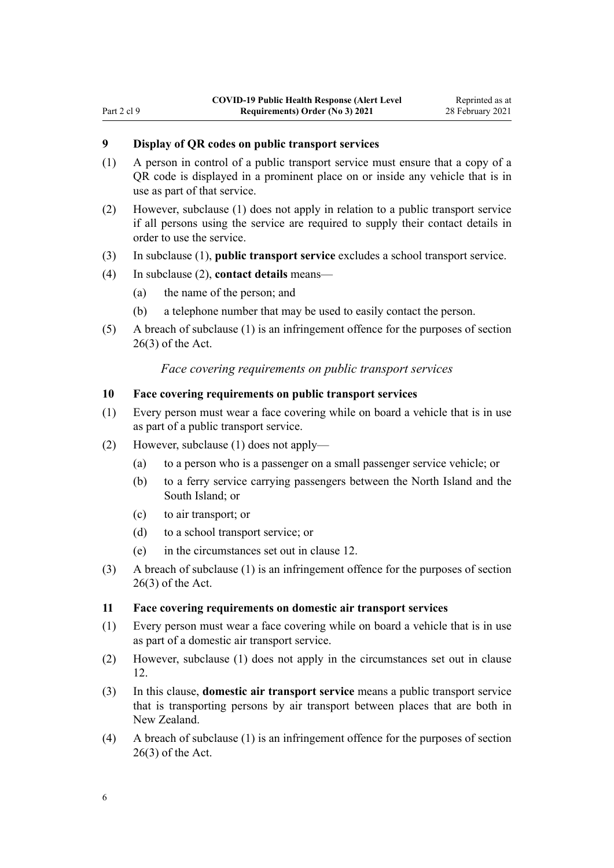# <span id="page-5-0"></span>**9 Display of QR codes on public transport services**

- (1) A person in control of a public transport service must ensure that a copy of a QR code is displayed in a prominent place on or inside any vehicle that is in use as part of that service.
- (2) However, subclause (1) does not apply in relation to a public transport service if all persons using the service are required to supply their contact details in order to use the service.
- (3) In subclause (1), **public transport service** excludes a school transport service.
- (4) In subclause (2), **contact details** means—
	- (a) the name of the person; and
	- (b) a telephone number that may be used to easily contact the person.
- (5) A breach of subclause (1) is an infringement offence for the purposes of [section](http://legislation.govt.nz/pdflink.aspx?id=LMS344200) [26\(3\)](http://legislation.govt.nz/pdflink.aspx?id=LMS344200) of the Act.

*Face covering requirements on public transport services*

#### **10 Face covering requirements on public transport services**

- (1) Every person must wear a face covering while on board a vehicle that is in use as part of a public transport service.
- (2) However, subclause (1) does not apply—
	- (a) to a person who is a passenger on a small passenger service vehicle; or
	- (b) to a ferry service carrying passengers between the North Island and the South Island; or
	- (c) to air transport; or
	- (d) to a school transport service; or
	- (e) in the circumstances set out in [clause 12](#page-6-0).
- (3) A breach of subclause (1) is an infringement offence for the purposes of [section](http://legislation.govt.nz/pdflink.aspx?id=LMS344200) [26\(3\)](http://legislation.govt.nz/pdflink.aspx?id=LMS344200) of the Act.

#### **11 Face covering requirements on domestic air transport services**

- (1) Every person must wear a face covering while on board a vehicle that is in use as part of a domestic air transport service.
- (2) However, subclause (1) does not apply in the circumstances set out in [clause](#page-6-0) [12.](#page-6-0)
- (3) In this clause, **domestic air transport service** means a public transport service that is transporting persons by air transport between places that are both in New Zealand.
- (4) A breach of subclause (1) is an infringement offence for the purposes of [section](http://legislation.govt.nz/pdflink.aspx?id=DLM434556) [26\(3\)](http://legislation.govt.nz/pdflink.aspx?id=DLM434556) of the Act.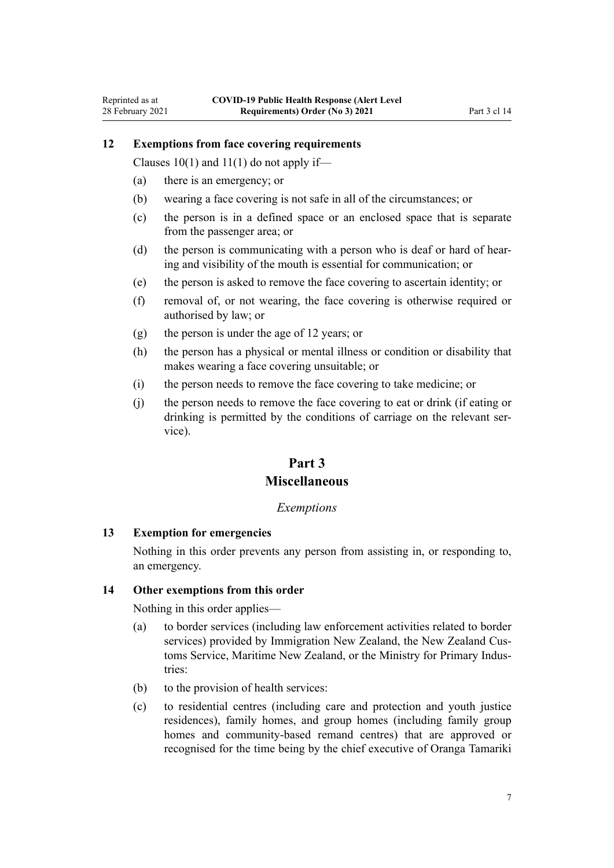# **12 Exemptions from face covering requirements**

Clauses  $10(1)$  and  $11(1)$  do not apply if—

(a) there is an emergency; or

<span id="page-6-0"></span>Reprinted as at 28 February 2021

- (b) wearing a face covering is not safe in all of the circumstances; or
- (c) the person is in a defined space or an enclosed space that is separate from the passenger area; or
- (d) the person is communicating with a person who is deaf or hard of hearing and visibility of the mouth is essential for communication; or
- (e) the person is asked to remove the face covering to ascertain identity; or
- (f) removal of, or not wearing, the face covering is otherwise required or authorised by law; or
- (g) the person is under the age of 12 years; or
- (h) the person has a physical or mental illness or condition or disability that makes wearing a face covering unsuitable; or
- (i) the person needs to remove the face covering to take medicine; or
- (j) the person needs to remove the face covering to eat or drink (if eating or drinking is permitted by the conditions of carriage on the relevant service).

#### **Part 3**

#### **Miscellaneous**

#### *Exemptions*

#### **13 Exemption for emergencies**

Nothing in this order prevents any person from assisting in, or responding to, an emergency.

#### **14 Other exemptions from this order**

Nothing in this order applies—

- (a) to border services (including law enforcement activities related to border services) provided by Immigration New Zealand, the New Zealand Customs Service, Maritime New Zealand, or the Ministry for Primary Industries:
- (b) to the provision of health services:
- (c) to residential centres (including care and protection and youth justice residences), family homes, and group homes (including family group homes and community-based remand centres) that are approved or recognised for the time being by the chief executive of Oranga Tamariki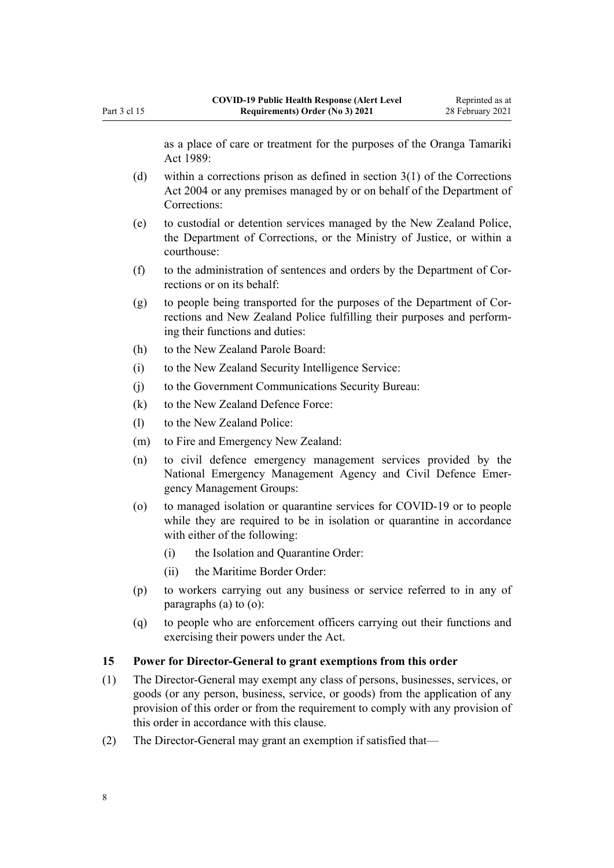<span id="page-7-0"></span>as a place of care or treatment for the purposes of the [Oranga Tamariki](http://legislation.govt.nz/pdflink.aspx?id=DLM147087) [Act 1989:](http://legislation.govt.nz/pdflink.aspx?id=DLM147087)

- (d) within a corrections prison as defined in [section 3\(1\)](http://legislation.govt.nz/pdflink.aspx?id=DLM294857) of the Corrections Act 2004 or any premises managed by or on behalf of the Department of Corrections:
- (e) to custodial or detention services managed by the New Zealand Police, the Department of Corrections, or the Ministry of Justice, or within a courthouse:
- (f) to the administration of sentences and orders by the Department of Corrections or on its behalf:
- (g) to people being transported for the purposes of the Department of Corrections and New Zealand Police fulfilling their purposes and performing their functions and duties:
- (h) to the New Zealand Parole Board:
- (i) to the New Zealand Security Intelligence Service:
- (j) to the Government Communications Security Bureau:
- (k) to the New Zealand Defence Force:
- (l) to the New Zealand Police:
- (m) to Fire and Emergency New Zealand:
- (n) to civil defence emergency management services provided by the National Emergency Management Agency and Civil Defence Emergency Management Groups:
- (o) to managed isolation or quarantine services for COVID-19 or to people while they are required to be in isolation or quarantine in accordance with either of the following:
	- (i) the Isolation and Quarantine Order:
	- (ii) the Maritime Border Order:
- (p) to workers carrying out any business or service referred to in any of paragraphs (a) to (o):
- (q) to people who are enforcement officers carrying out their functions and exercising their powers under the Act.

### **15 Power for Director-General to grant exemptions from this order**

- (1) The Director-General may exempt any class of persons, businesses, services, or goods (or any person, business, service, or goods) from the application of any provision of this order or from the requirement to comply with any provision of this order in accordance with this clause.
- (2) The Director-General may grant an exemption if satisfied that—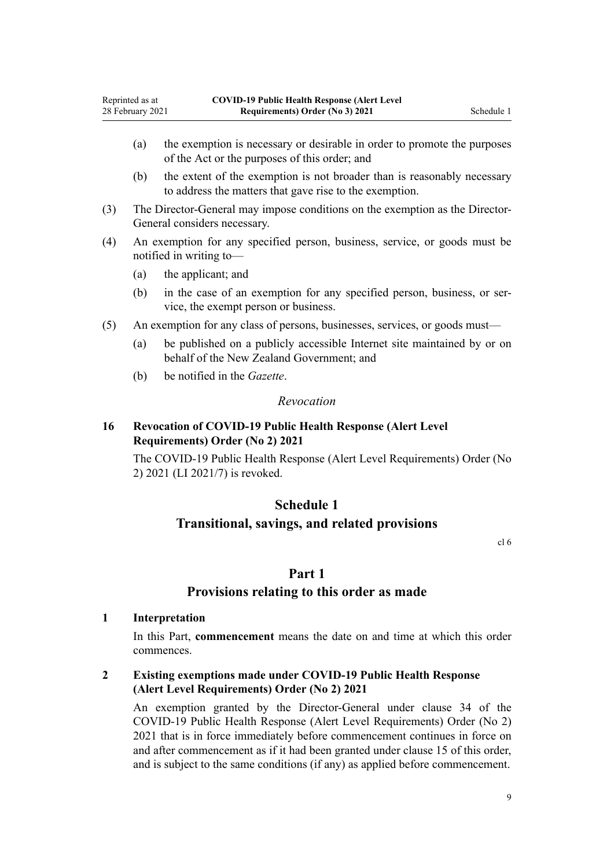- <span id="page-8-0"></span>(a) the exemption is necessary or desirable in order to promote the purposes of the Act or the purposes of this order; and
- (b) the extent of the exemption is not broader than is reasonably necessary to address the matters that gave rise to the exemption.
- (3) The Director-General may impose conditions on the exemption as the Director-General considers necessary.
- (4) An exemption for any specified person, business, service, or goods must be notified in writing to—
	- (a) the applicant; and
	- (b) in the case of an exemption for any specified person, business, or service, the exempt person or business.
- (5) An exemption for any class of persons, businesses, services, or goods must—
	- (a) be published on a publicly accessible Internet site maintained by or on behalf of the New Zealand Government; and
	- (b) be notified in the *Gazette*.

### *Revocation*

# **16 Revocation of COVID-19 Public Health Response (Alert Level Requirements) Order (No 2) 2021**

The [COVID-19 Public Health Response \(Alert Level Requirements\) Order \(No](http://legislation.govt.nz/pdflink.aspx?id=LMS453804) [2\) 2021](http://legislation.govt.nz/pdflink.aspx?id=LMS453804) (LI 2021/7) is revoked.

# **Schedule 1**

# **Transitional, savings, and related provisions**

[cl 6](#page-4-0)

# **Part 1**

# **Provisions relating to this order as made**

# **1 Interpretation**

In this Part, **commencement** means the date on and time at which this order commences.

# **2 Existing exemptions made under COVID-19 Public Health Response (Alert Level Requirements) Order (No 2) 2021**

An exemption granted by the Director-General under [clause 34](http://legislation.govt.nz/pdflink.aspx?id=LMS453937) of the COVID-19 Public Health Response (Alert Level Requirements) Order (No 2) 2021 that is in force immediately before commencement continues in force on and after commencement as if it had been granted under [clause 15](#page-7-0) of this order, and is subject to the same conditions (if any) as applied before commencement.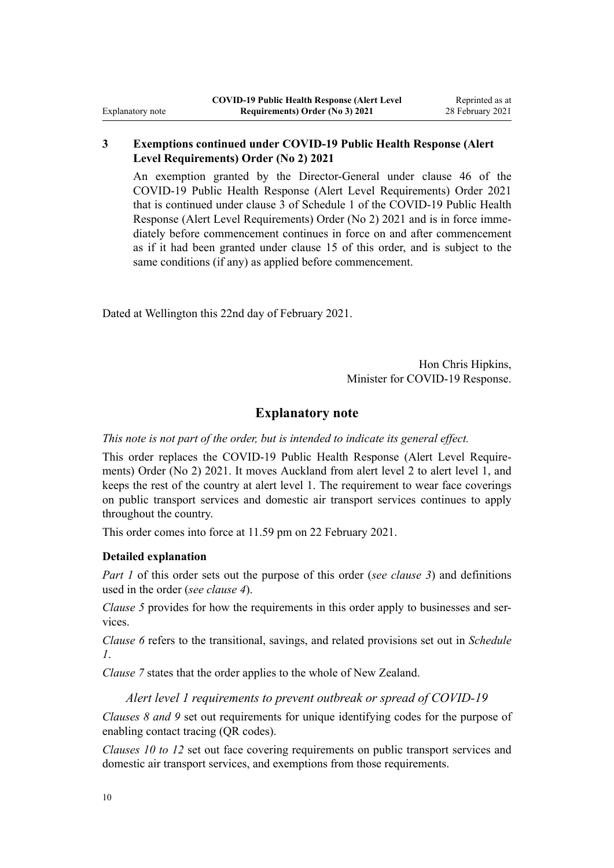# **3 Exemptions continued under COVID-19 Public Health Response (Alert Level Requirements) Order (No 2) 2021**

An exemption granted by the Director-General under [clause 46](http://legislation.govt.nz/pdflink.aspx?id=LMS451847) of the COVID-19 Public Health Response (Alert Level Requirements) Order 2021 that is continued under [clause 3](http://legislation.govt.nz/pdflink.aspx?id=LMS453946) of Schedule 1 of the COVID-19 Public Health Response (Alert Level Requirements) Order (No 2) 2021 and is in force immediately before commencement continues in force on and after commencement as if it had been granted under [clause 15](#page-7-0) of this order, and is subject to the same conditions (if any) as applied before commencement.

Dated at Wellington this 22nd day of February 2021.

Hon Chris Hipkins, Minister for COVID-19 Response.

# **Explanatory note**

# *This note is not part of the order, but is intended to indicate its general effect.*

This order replaces the [COVID-19 Public Health Response \(Alert Level Require](http://legislation.govt.nz/pdflink.aspx?id=LMS453804)[ments\) Order \(No 2\) 2021.](http://legislation.govt.nz/pdflink.aspx?id=LMS453804) It moves Auckland from alert level 2 to alert level 1, and keeps the rest of the country at alert level 1. The requirement to wear face coverings on public transport services and domestic air transport services continues to apply throughout the country.

This order comes into force at 11.59 pm on 22 February 2021.

# **Detailed explanation**

*[Part 1](#page-1-0)* of this order sets out the purpose of this order (*see [clause 3](#page-1-0)*) and definitions used in the order (*see [clause 4](#page-1-0)*).

*[Clause 5](#page-4-0)* provides for how the requirements in this order apply to businesses and services.

*[Clause 6](#page-4-0)* refers to the transitional, savings, and related provisions set out in *[Schedule](#page-8-0) [1](#page-8-0)*.

*[Clause 7](#page-4-0)* states that the order applies to the whole of New Zealand.

*Alert level 1 requirements to prevent outbreak or spread of COVID-19*

*[Clauses 8](#page-4-0) and [9](#page-5-0)* set out requirements for unique identifying codes for the purpose of enabling contact tracing (QR codes).

*[Clauses 10 to 12](#page-5-0)* set out face covering requirements on public transport services and domestic air transport services, and exemptions from those requirements.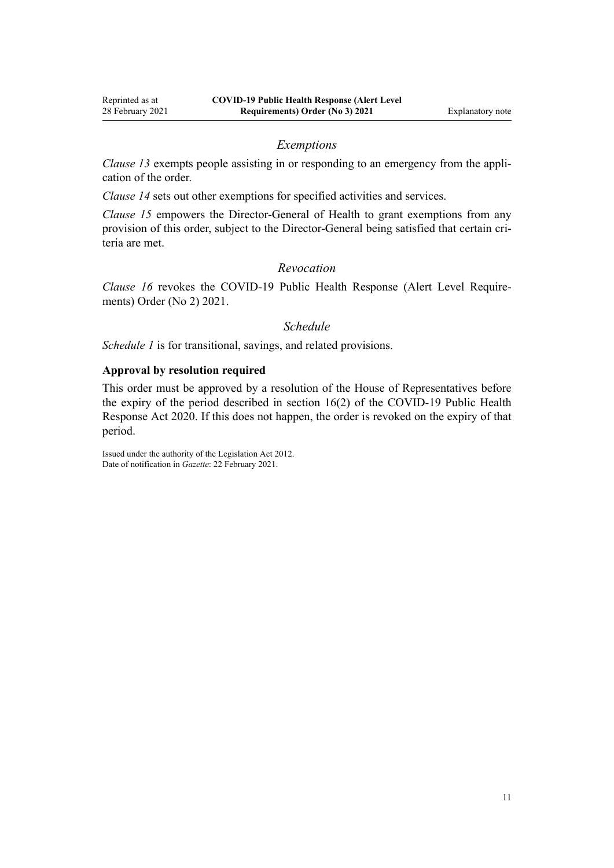#### *Exemptions*

*[Clause 13](#page-6-0)* exempts people assisting in or responding to an emergency from the application of the order.

*[Clause 14](#page-6-0)* sets out other exemptions for specified activities and services.

*[Clause 15](#page-7-0)* empowers the Director-General of Health to grant exemptions from any provision of this order, subject to the Director-General being satisfied that certain criteria are met.

### *Revocation*

*[Clause 16](#page-8-0)* revokes the [COVID-19 Public Health Response \(Alert Level Require](http://legislation.govt.nz/pdflink.aspx?id=LMS453804)[ments\) Order \(No 2\) 2021](http://legislation.govt.nz/pdflink.aspx?id=LMS453804).

# *Schedule*

*[Schedule 1](#page-8-0)* is for transitional, savings, and related provisions.

#### **Approval by resolution required**

This order must be approved by a resolution of the House of Representatives before the expiry of the period described in [section 16\(2\)](http://legislation.govt.nz/pdflink.aspx?id=LMS344186) of the COVID-19 Public Health Response Act 2020. If this does not happen, the order is revoked on the expiry of that period.

Issued under the authority of the [Legislation Act 2012](http://legislation.govt.nz/pdflink.aspx?id=DLM2997643). Date of notification in *Gazette*: 22 February 2021.